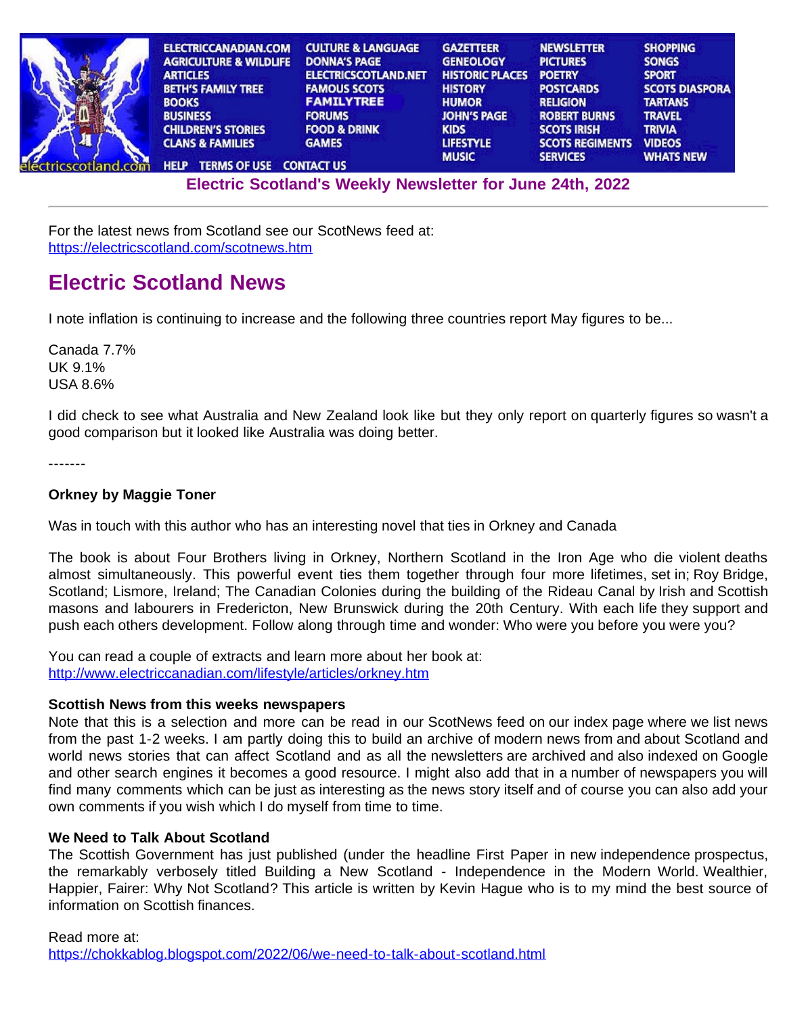| <b>ELECTRICCANADIAN.COM</b>                   | <b>CULTURE &amp; LANGUAGE</b> | <b>GAZETTEER</b>       | <b>NEWSLETTER</b>      | <b>SHOPPING</b>       |
|-----------------------------------------------|-------------------------------|------------------------|------------------------|-----------------------|
| <b>AGRICULTURE &amp; WILDLIFE</b>             | <b>DONNA'S PAGE</b>           | <b>GENEOLOGY</b>       | <b>PICTURES</b>        | <b>SONGS</b>          |
| <b>ARTICLES</b>                               | <b>ELECTRICSCOTLAND.NET</b>   | <b>HISTORIC PLACES</b> | <b>POETRY</b>          | <b>SPORT</b>          |
| <b>BETH'S FAMILY TREE</b>                     | <b>FAMOUS SCOTS</b>           | <b>HISTORY</b>         | <b>POSTCARDS</b>       | <b>SCOTS DIASPORA</b> |
| <b>BOOKS</b>                                  | <b>FAMILYTREE</b>             | <b>HUMOR</b>           | <b>RELIGION</b>        | <b>TARTANS</b>        |
| <b>BUSINESS</b>                               | <b>FORUMS</b>                 | <b>JOHN'S PAGE</b>     | <b>ROBERT BURNS</b>    | <b>TRAVEL</b>         |
| <b>CHILDREN'S STORIES</b>                     | <b>FOOD &amp; DRINK</b>       | <b>KIDS</b>            | <b>SCOTS IRISH</b>     | <b>TRIVIA</b>         |
| <b>CLANS &amp; FAMILIES</b>                   | <b>GAMES</b>                  | <b>LIFESTYLE</b>       | <b>SCOTS REGIMENTS</b> | <b>VIDEOS</b>         |
|                                               |                               | <b>MUSIC</b>           | <b>SERVICES</b>        | <b>WHATS NEW</b>      |
| <b>TERMS OF USE CONTACT US</b><br><b>HELP</b> |                               |                        |                        |                       |

**[El](http://www.electricscotland.org/help/)[ectric Scot](http://www.electricscotland.com/ester.htm)[land's Weekly Newslet](http://www.electricscotland.com/contact.htm)[ter for Jun](http://www.electricscotland.com/music/index.htm)[e 24th, 2022](http://www.electricscotland.com/services/index.htm)**

For the latest news from Scotland see our ScotNews feed at: <https://electricscotland.com/scotnews.htm>

# **Electric Scotland News**

I note inflation is continuing to increase and the following three countries report May figures to be...

Canada 7.7% UK 9.1% USA 8.6%

I did check to see what Australia and New Zealand look like but they only report on quarterly figures so wasn't a good comparison but it looked like Australia was doing better.

-------

## **Orkney by Maggie Toner**

Was in touch with this author who has an interesting novel that ties in Orkney and Canada

The book is about Four Brothers living in Orkney, Northern Scotland in the Iron Age who die violent deaths almost simultaneously. This powerful event ties them together through four more lifetimes, set in; Roy Bridge, Scotland; Lismore, Ireland; The Canadian Colonies during the building of the Rideau Canal by Irish and Scottish masons and labourers in Fredericton, New Brunswick during the 20th Century. With each life they support and push each others development. Follow along through time and wonder: Who were you before you were you?

You can read a couple of extracts and learn more about her book at: <http://www.electriccanadian.com/lifestyle/articles/orkney.htm>

### **Scottish News from this weeks newspapers**

Note that this is a selection and more can be read in our ScotNews feed on our index page where we list news from the past 1-2 weeks. I am partly doing this to build an archive of modern news from and about Scotland and world news stories that can affect Scotland and as all the newsletters are archived and also indexed on Google and other search engines it becomes a good resource. I might also add that in a number of newspapers you will find many comments which can be just as interesting as the news story itself and of course you can also add your own comments if you wish which I do myself from time to time.

## **We Need to Talk About Scotland**

The Scottish Government has just published (under the headline First Paper in new independence prospectus, the remarkably verbosely titled Building a New Scotland - Independence in the Modern World. Wealthier, Happier, Fairer: Why Not Scotland? This article is written by Kevin Hague who is to my mind the best source of information on Scottish finances.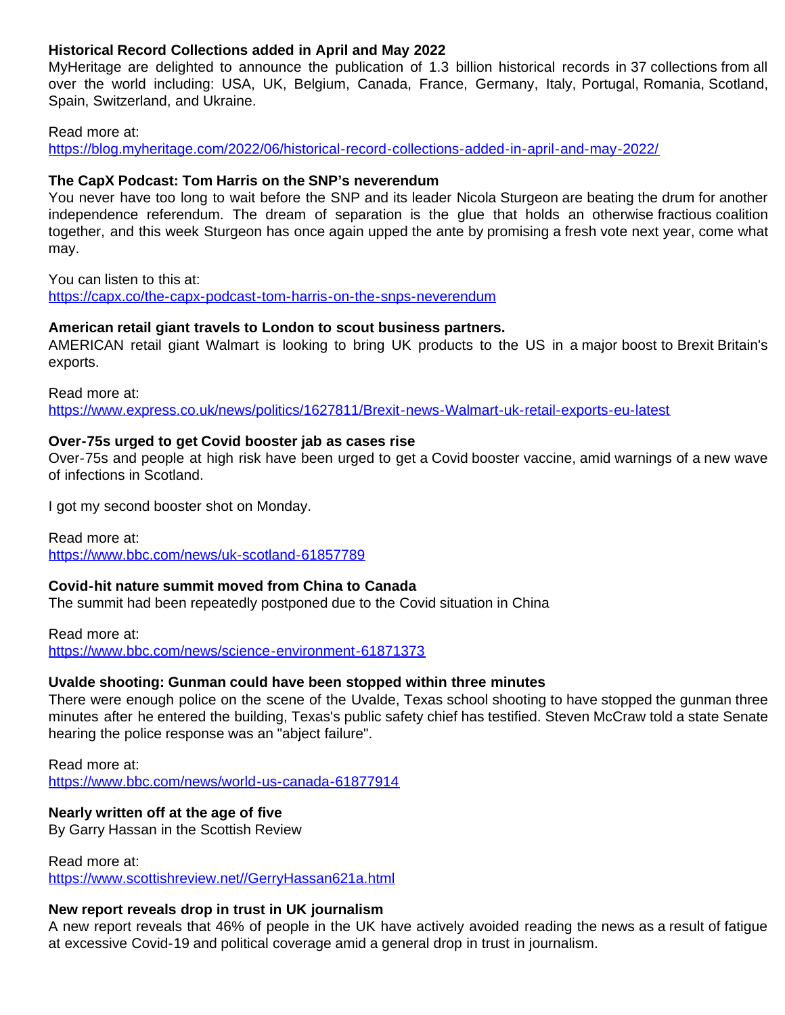## **Historical Record Collections added in April and May 2022**

MyHeritage are delighted to announce the publication of 1.3 billion historical records in 37 collections from all over the world including: USA, UK, Belgium, Canada, France, Germany, Italy, Portugal, Romania, Scotland, Spain, Switzerland, and Ukraine.

### Read more at:

<https://blog.myheritage.com/2022/06/historical-record-collections-added-in-april-and-may-2022/>

## **The CapX Podcast: Tom Harris on the SNP's neverendum**

You never have too long to wait before the SNP and its leader Nicola Sturgeon are beating the drum for another independence referendum. The dream of separation is the glue that holds an otherwise fractious coalition together, and this week Sturgeon has once again upped the ante by promising a fresh vote next year, come what may.

You can listen to this at:

<https://capx.co/the-capx-podcast-tom-harris-on-the-snps-neverendum>

## **American retail giant travels to London to scout business partners.**

AMERICAN retail giant Walmart is looking to bring UK products to the US in a major boost to Brexit Britain's exports.

Read more at:

<https://www.express.co.uk/news/politics/1627811/Brexit-news-Walmart-uk-retail-exports-eu-latest>

## **Over-75s urged to get Covid booster jab as cases rise**

Over-75s and people at high risk have been urged to get a Covid booster vaccine, amid warnings of a new wave of infections in Scotland.

I got my second booster shot on Monday.

Read more at: <https://www.bbc.com/news/uk-scotland-61857789>

## **Covid-hit nature summit moved from China to Canada**

The summit had been repeatedly postponed due to the Covid situation in China

Read more at: <https://www.bbc.com/news/science-environment-61871373>

## **Uvalde shooting: Gunman could have been stopped within three minutes**

There were enough police on the scene of the Uvalde, Texas school shooting to have stopped the gunman three minutes after he entered the building, Texas's public safety chief has testified. Steven McCraw told a state Senate hearing the police response was an "abject failure".

Read more at: <https://www.bbc.com/news/world-us-canada-61877914>

## **Nearly written off at the age of five**

By Garry Hassan in the Scottish Review

Read more at:

<https://www.scottishreview.net//GerryHassan621a.html>

## **New report reveals drop in trust in UK journalism**

A new report reveals that 46% of people in the UK have actively avoided reading the news as a result of fatigue at excessive Covid-19 and political coverage amid a general drop in trust in journalism.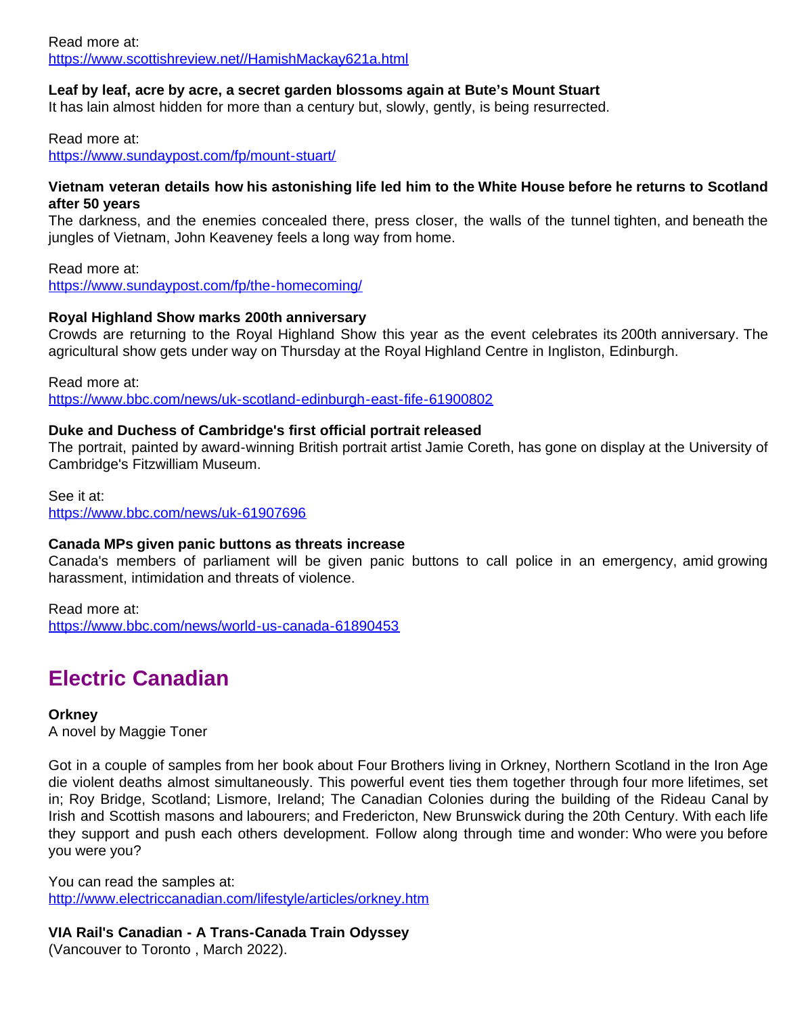### Read more at: <https://www.scottishreview.net//HamishMackay621a.html>

## **Leaf by leaf, acre by acre, a secret garden blossoms again at Bute's Mount Stuart**

It has lain almost hidden for more than a century but, slowly, gently, is being resurrected.

Read more at:

<https://www.sundaypost.com/fp/mount-stuart/>

### **Vietnam veteran details how his astonishing life led him to the White House before he returns to Scotland after 50 years**

The darkness, and the enemies concealed there, press closer, the walls of the tunnel tighten, and beneath the jungles of Vietnam, John Keaveney feels a long way from home.

Read more at:

<https://www.sundaypost.com/fp/the-homecoming/>

## **Royal Highland Show marks 200th anniversary**

Crowds are returning to the Royal Highland Show this year as the event celebrates its 200th anniversary. The agricultural show gets under way on Thursday at the Royal Highland Centre in Ingliston, Edinburgh.

Read more at:

<https://www.bbc.com/news/uk-scotland-edinburgh-east-fife-61900802>

## **Duke and Duchess of Cambridge's first official portrait released**

The portrait, painted by award-winning British portrait artist Jamie Coreth, has gone on display at the University of Cambridge's Fitzwilliam Museum.

See it at: <https://www.bbc.com/news/uk-61907696>

## **Canada MPs given panic buttons as threats increase**

Canada's members of parliament will be given panic buttons to call police in an emergency, amid growing harassment, intimidation and threats of violence.

Read more at:

<https://www.bbc.com/news/world-us-canada-61890453>

# **Electric Canadian**

**Orkney**

A novel by Maggie Toner

Got in a couple of samples from her book about Four Brothers living in Orkney, Northern Scotland in the Iron Age die violent deaths almost simultaneously. This powerful event ties them together through four more lifetimes, set in; Roy Bridge, Scotland; Lismore, Ireland; The Canadian Colonies during the building of the Rideau Canal by Irish and Scottish masons and labourers; and Fredericton, New Brunswick during the 20th Century. With each life they support and push each others development. Follow along through time and wonder: Who were you before you were you?

You can read the samples at: <http://www.electriccanadian.com/lifestyle/articles/orkney.htm>

**VIA Rail's Canadian - A Trans-Canada Train Odyssey**

(Vancouver to Toronto , March 2022).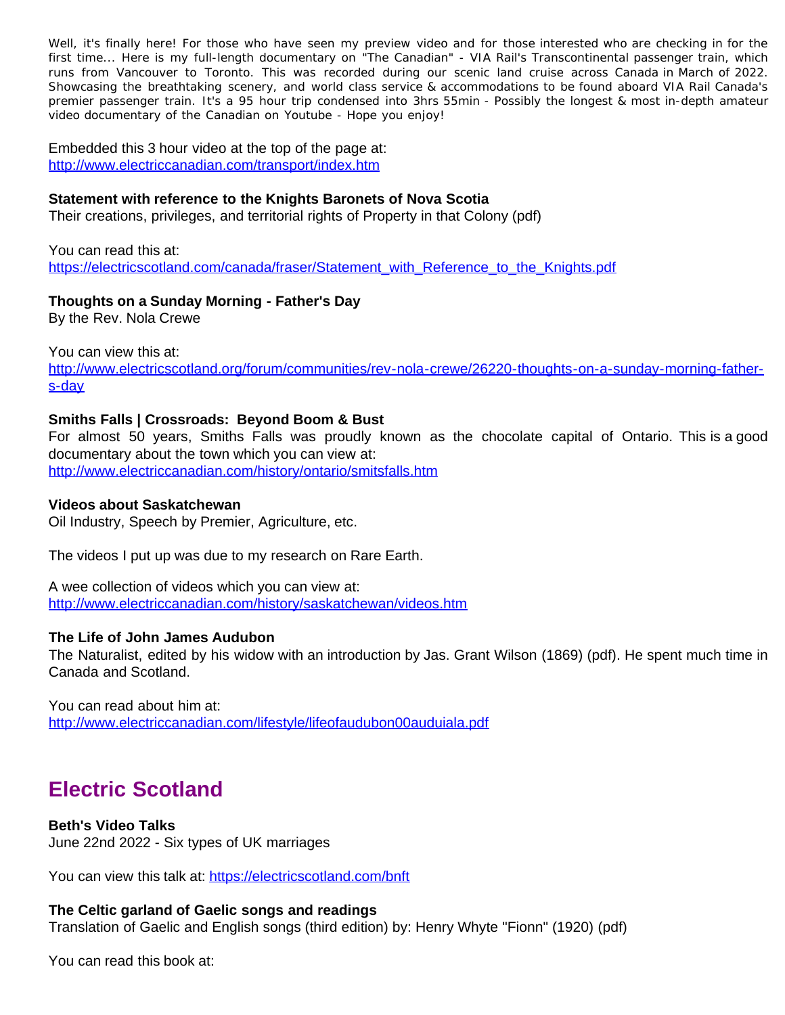Well, it's finally here! For those who have seen my preview video and for those interested who are checking in for the first time... Here is my full-length documentary on "The Canadian" - VIA Rail's Transcontinental passenger train, which runs from Vancouver to Toronto. This was recorded during our scenic land cruise across Canada in March of 2022. Showcasing the breathtaking scenery, and world class service & accommodations to be found aboard VIA Rail Canada's premier passenger train. It's a 95 hour trip condensed into 3hrs 55min - Possibly the longest & most in-depth amateur video documentary of the Canadian on Youtube - Hope you enjoy!

Embedded this 3 hour video at the top of the page at: <http://www.electriccanadian.com/transport/index.htm>

### **Statement with reference to the Knights Baronets of Nova Scotia**

Their creations, privileges, and territorial rights of Property in that Colony (pdf)

You can read this at: [https://electricscotland.com/canada/fraser/Statement\\_with\\_Reference\\_to\\_the\\_Knights.pdf](https://electricscotland.com/canada/fraser/Statement_with_Reference_to_the_Knights.pdf)

## **Thoughts on a Sunday Morning - Father's Day**

By the Rev. Nola Crewe

You can view this at:

[http://www.electricscotland.org/forum/communities/rev-nola-crewe/26220-thoughts-on-a-sunday-morning-father](http://www.electricscotland.org/forum/communities/rev-nola-crewe/26220-thoughts-on-a-sunday-morning-father-s-day)[s-day](http://www.electricscotland.org/forum/communities/rev-nola-crewe/26220-thoughts-on-a-sunday-morning-father-s-day)

### **Smiths Falls | Crossroads: Beyond Boom & Bust**

For almost 50 years, Smiths Falls was proudly known as the chocolate capital of Ontario. This is a good documentary about the town which you can view at: <http://www.electriccanadian.com/history/ontario/smitsfalls.htm>

### **Videos about Saskatchewan**

Oil Industry, Speech by Premier, Agriculture, etc.

The videos I put up was due to my research on Rare Earth.

A wee collection of videos which you can view at: <http://www.electriccanadian.com/history/saskatchewan/videos.htm>

### **The Life of John James Audubon**

The Naturalist, edited by his widow with an introduction by Jas. Grant Wilson (1869) (pdf). He spent much time in Canada and Scotland.

You can read about him at: <http://www.electriccanadian.com/lifestyle/lifeofaudubon00auduiala.pdf>

## **Electric Scotland**

### **Beth's Video Talks**

June 22nd 2022 - Six types of UK marriages

You can view this talk at:<https://electricscotland.com/bnft>

### **The Celtic garland of Gaelic songs and readings**

Translation of Gaelic and English songs (third edition) by: Henry Whyte "Fionn" (1920) (pdf)

You can read this book at: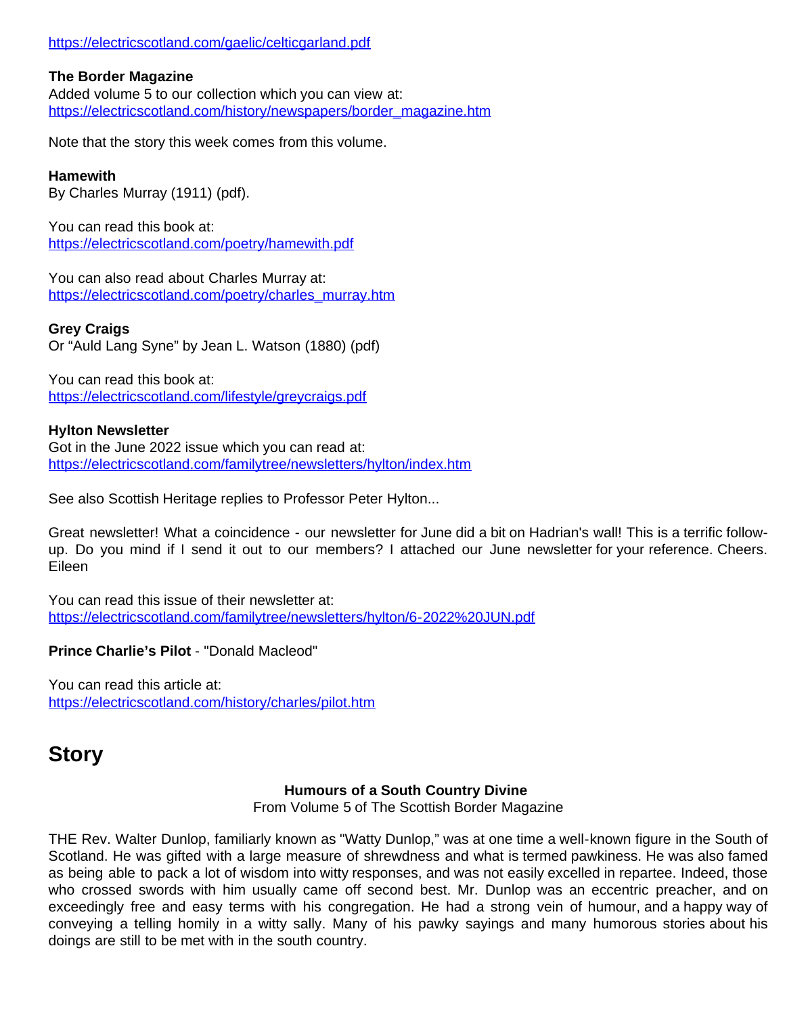### <https://electricscotland.com/gaelic/celticgarland.pdf>

### **The Border Magazine**

Added volume 5 to our collection which you can view at: [https://electricscotland.com/history/newspapers/border\\_magazine.htm](https://electricscotland.com/history/newspapers/border_magazine.htm)

Note that the story this week comes from this volume.

## **Hamewith**

By Charles Murray (1911) (pdf).

You can read this book at: <https://electricscotland.com/poetry/hamewith.pdf>

You can also read about Charles Murray at: [https://electricscotland.com/poetry/charles\\_murray.htm](https://electricscotland.com/poetry/charles_murray.htm)

## **Grey Craigs**

Or "Auld Lang Syne" by Jean L. Watson (1880) (pdf)

You can read this book at: <https://electricscotland.com/lifestyle/greycraigs.pdf>

## **Hylton Newsletter**

Got in the June 2022 issue which you can read at: <https://electricscotland.com/familytree/newsletters/hylton/index.htm>

See also Scottish Heritage replies to Professor Peter Hylton...

Great newsletter! What a coincidence - our newsletter for June did a bit on Hadrian's wall! This is a terrific followup. Do you mind if I send it out to our members? I attached our June newsletter for your reference. Cheers. Eileen

You can read this issue of their newsletter at: <https://electricscotland.com/familytree/newsletters/hylton/6-2022%20JUN.pdf>

**Prince Charlie's Pilot** - "Donald Macleod"

You can read this article at: <https://electricscotland.com/history/charles/pilot.htm>

# **Story**

## **Humours of a South Country Divine**

From Volume 5 of The Scottish Border Magazine

THE Rev. Walter Dunlop, familiarly known as "Watty Dunlop," was at one time a well-known figure in the South of Scotland. He was gifted with a large measure of shrewdness and what is termed pawkiness. He was also famed as being able to pack a lot of wisdom into witty responses, and was not easily excelled in repartee. Indeed, those who crossed swords with him usually came off second best. Mr. Dunlop was an eccentric preacher, and on exceedingly free and easy terms with his congregation. He had a strong vein of humour, and a happy way of conveying a telling homily in a witty sally. Many of his pawky sayings and many humorous stories about his doings are still to be met with in the south country.